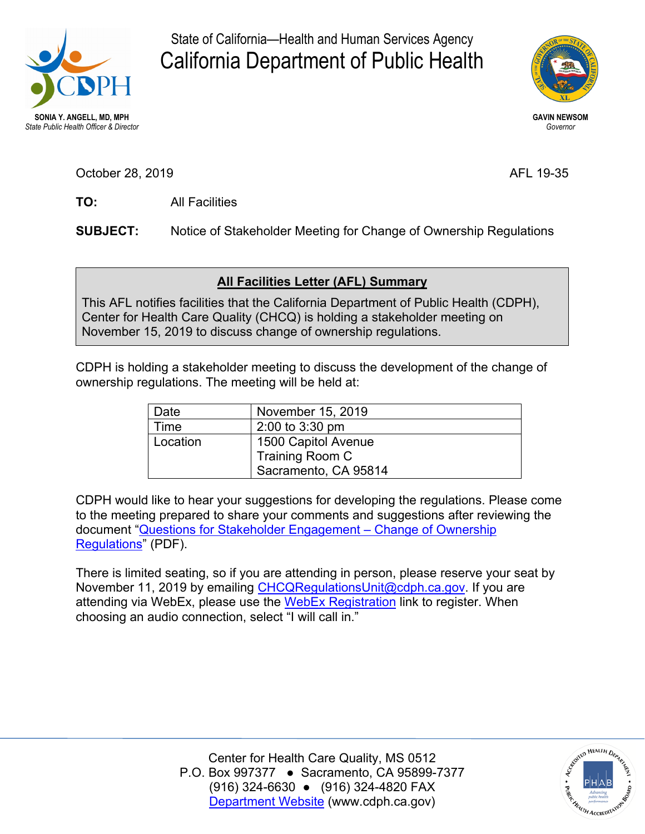

State of California—Health and Human Services Agency California Department of Public Health



**GAVIN NEWSOM**  *Governor* 

AFL 19-35

TO: October 28, 2 **TO:** <sup>019</sup> All Facilities

**SUBJECT:** Notice of Stakeholder Meeting for Change of Ownership Regulations

## **All Facilities Letter (AFL) Summary**

 November 15, 2019 to discuss change of ownership regulations. This AFL notifies facilities that the California Department of Public Health (CDPH), Center for Health Care Quality (CHCQ) is holding a stakeholder meeting on

 CDPH is holding a stakeholder meeting to discuss the development of the change of ownership regulations. The meeting will be held at:

| Date     | November 15, 2019    |
|----------|----------------------|
| Time     | 2:00 to 3:30 pm      |
| Location | 1500 Capitol Avenue  |
|          | Training Room C      |
|          | Sacramento, CA 95814 |

 to the meeting prepared to share your comments and suggestions after reviewing the [Regulations"](https://www.cdph.ca.gov/Programs/CHCQ/LCP/CDPH%20Document%20Library/AFL-19-35-Attachment1.pdf) (PDF). CDPH would like to hear your suggestions for developing the regulations. Please come document ["Questions for Stakeholder Engagement – Change of Ownership](https://www.cdph.ca.gov/Programs/CHCQ/LCP/CDPH%20Document%20Library/AFL-19-35-Attachment1.pdf) 

 There is limited seating, so if you are attending in person, please reserve your seat by November 11, 2019 by emailing [CHCQRegulationsUnit@cdph.ca.gov.](mailto:CHCQRegulationsUnit@cdph.ca.gov) If you are attending via WebEx, please use the [WebEx Registration](https://cdph-conf.webex.com/cdph-conf/onstage/g.php?MTID=e0795542aa2c31319deb4cbbdf4855343) link to register. When choosing an audio connection, select "I will call in."